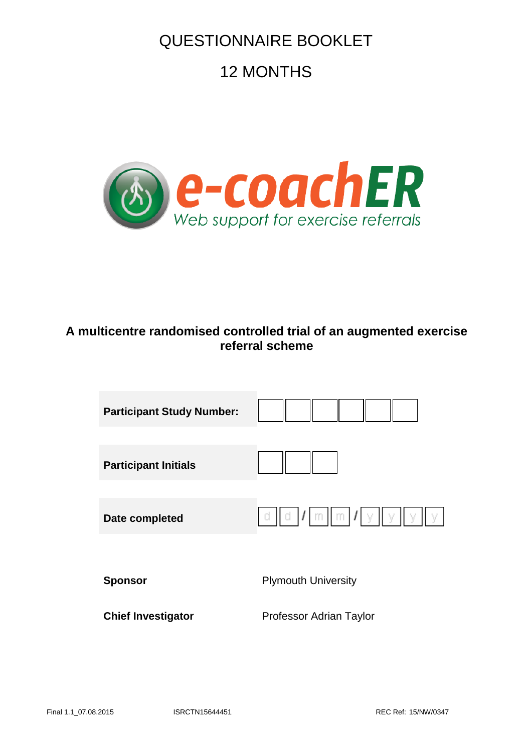## QUESTIONNAIRE BOOKLET

# 12 MONTHS



## **A multicentre randomised controlled trial of an augmented exercise referral scheme**

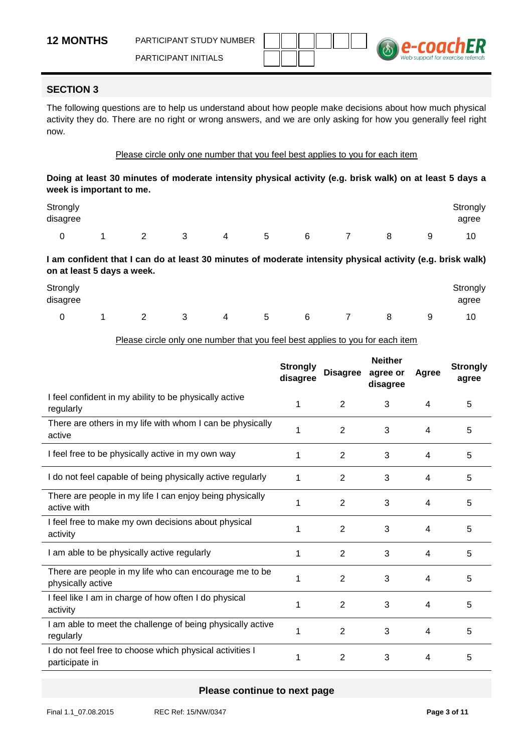

#### **SECTION 3**

The following questions are to help us understand about how people make decisions about how much physical activity they do. There are no right or wrong answers, and we are only asking for how you generally feel right now.

#### Please circle only one number that you feel best applies to you for each item

**Doing at least 30 minutes of moderate intensity physical activity (e.g. brisk walk) on at least 5 days a week is important to me.**

| Strongly<br>disagree |                |                |   |   |   |   |   |   | Strongly<br>agree |
|----------------------|----------------|----------------|---|---|---|---|---|---|-------------------|
|                      | $\overline{a}$ | $\overline{2}$ | 3 | 4 | 5 | 6 | 8 | 9 | 10                |

**I am confident that I can do at least 30 minutes of moderate intensity physical activity (e.g. brisk walk) on at least 5 days a week.**

| Strongly<br>disagree |   |     |   |   |   |   |   | Strongly<br>agree |
|----------------------|---|-----|---|---|---|---|---|-------------------|
| $\Omega$             | ∠ | - 3 | 4 | 5 | 6 | 8 | 9 | 10                |

#### Please circle only one number that you feel best applies to you for each item

|                                                                             | <b>Strongly</b><br>disagree | <b>Disagree</b> | <b>Neither</b><br>agree or<br>disagree | Agree | <b>Strongly</b><br>agree |
|-----------------------------------------------------------------------------|-----------------------------|-----------------|----------------------------------------|-------|--------------------------|
| I feel confident in my ability to be physically active<br>regularly         | 1                           | 2               | 3                                      | 4     | 5                        |
| There are others in my life with whom I can be physically<br>active         | 1                           | $\overline{2}$  | 3                                      | 4     | 5                        |
| I feel free to be physically active in my own way                           | 1                           | 2               | 3                                      | 4     | 5                        |
| I do not feel capable of being physically active regularly                  | 1                           | 2               | 3                                      | 4     | 5                        |
| There are people in my life I can enjoy being physically<br>active with     | 1                           | $\overline{2}$  | 3                                      | 4     | 5                        |
| I feel free to make my own decisions about physical<br>activity             | 1                           | $\overline{2}$  | 3                                      | 4     | 5                        |
| I am able to be physically active regularly                                 | 1                           | $\overline{2}$  | 3                                      | 4     | 5                        |
| There are people in my life who can encourage me to be<br>physically active | 1                           | $\overline{2}$  | 3                                      | 4     | 5                        |
| I feel like I am in charge of how often I do physical<br>activity           | 1                           | $\overline{2}$  | 3                                      | 4     | 5                        |
| I am able to meet the challenge of being physically active<br>regularly     | 1                           | $\overline{2}$  | 3                                      | 4     | 5                        |
| I do not feel free to choose which physical activities I<br>participate in  | 1                           | $\overline{2}$  | 3                                      | 4     | 5                        |

#### **Please continue to next page**